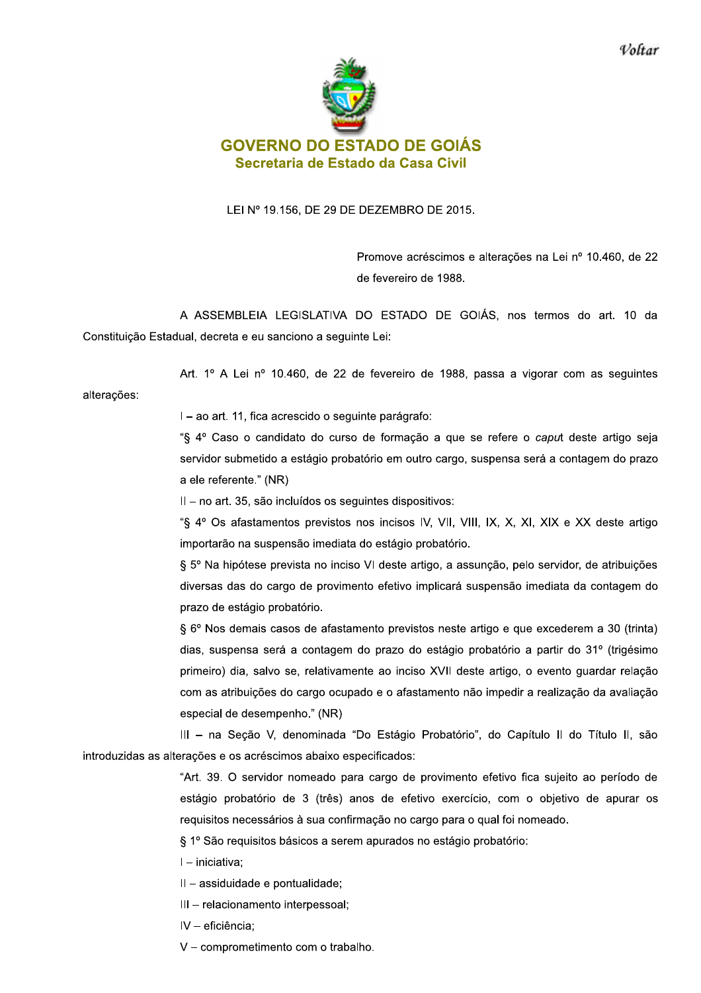

## LEI Nº 19.156, DE 29 DE DEZEMBRO DE 2015.

Promove acréscimos e alterações na Lei nº 10.460, de 22 de fevereiro de 1988.

A ASSEMBLEIA LEGISLATIVA DO ESTADO DE GOIÁS, nos termos do art. 10 da Constituição Estadual, decreta e eu sanciono a seguinte Lei:

Art. 1º A Lei nº 10.460, de 22 de fevereiro de 1988, passa a vigorar com as sequintes

alterações:

I - ao art. 11, fica acrescido o seguinte parágrafo:

"§ 4º Caso o candidato do curso de formação a que se refere o caput deste artigo seja servidor submetido a estágio probatório em outro cargo, suspensa será a contagem do prazo a ele referente." (NR)

II - no art. 35, são incluídos os seguintes dispositivos:

"§ 4° Os afastamentos previstos nos incisos IV, VII, VIII, IX, X, XI, XIX e XX deste artigo importarão na suspensão imediata do estágio probatório.

§ 5º Na hipótese prevista no inciso VI deste artigo, a assunção, pelo servidor, de atribuições diversas das do cargo de provimento efetivo implicará suspensão imediata da contagem do prazo de estágio probatório.

§ 6° Nos demais casos de afastamento previstos neste artigo e que excederem a 30 (trinta) dias, suspensa será a contagem do prazo do estágio probatório a partir do 31º (trigésimo primeiro) dia, salvo se, relativamente ao inciso XVII deste artigo, o evento guardar relação com as atribuições do cargo ocupado e o afastamento não impedir a realização da avaliação especial de desempenho." (NR)

III - na Seção V, denominada "Do Estágio Probatório", do Capítulo II do Título II, são introduzidas as alterações e os acréscimos abaixo especificados:

> "Art. 39. O servidor nomeado para cargo de provimento efetivo fica sujeito ao período de estágio probatório de 3 (três) anos de efetivo exercício, com o objetivo de apurar os requisitos necessários à sua confirmação no cargo para o qual foi nomeado.

§ 1º São requisitos básicos a serem apurados no estágio probatório:

- I iniciativa:
- Il assiduidade e pontualidade;
- III relacionamento interpessoal;
- IV eficiência;
- V comprometimento com o trabalho.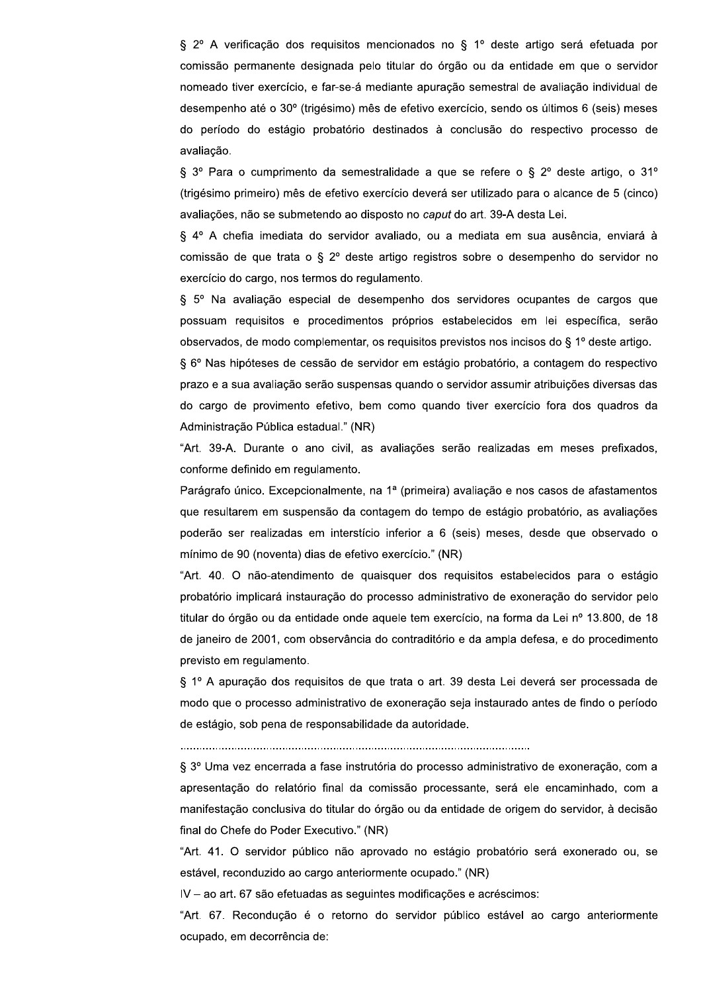§ 2º A verificação dos requisitos mencionados no § 1º deste artigo será efetuada por comissão permanente designada pelo titular do órgão ou da entidade em que o servidor nomeado tiver exercício, e far-se-á mediante apuração semestral de avaliação individual de desempenho até o 30° (trigésimo) mês de efetivo exercício, sendo os últimos 6 (seis) meses do período do estágio probatório destinados à conclusão do respectivo processo de avaliação.

§ 3° Para o cumprimento da semestralidade a que se refere o § 2° deste artigo, o 31° (trigésimo primeiro) mês de efetivo exercício deverá ser utilizado para o alcance de 5 (cinco) avaliações, não se submetendo ao disposto no caput do art. 39-A desta Lei.

§ 4º A chefia imediata do servidor avaliado, ou a mediata em sua ausência, enviará à comissão de que trata o § 2º deste artigo registros sobre o desempenho do servidor no exercício do cargo, nos termos do regulamento.

§ 5º Na avaliação especial de desempenho dos servidores ocupantes de cargos que possuam requisitos e procedimentos próprios estabelecidos em lei específica, serão observados, de modo complementar, os requisitos previstos nos incisos do § 1º deste artigo.

§ 6º Nas hipóteses de cessão de servidor em estágio probatório, a contagem do respectivo prazo e a sua avaliação serão suspensas quando o servidor assumir atribuições diversas das do cargo de provimento efetivo, bem como quando tiver exercício fora dos quadros da Administração Pública estadual." (NR)

"Art. 39-A. Durante o ano civil, as avaliações serão realizadas em meses prefixados, conforme definido em regulamento.

Parágrafo único. Excepcionalmente, na 1ª (primeira) avaliação e nos casos de afastamentos que resultarem em suspensão da contagem do tempo de estágio probatório, as avaliações poderão ser realizadas em interstício inferior a 6 (seis) meses, desde que observado o mínimo de 90 (noventa) dias de efetivo exercício." (NR)

"Art. 40. O não-atendimento de quaisquer dos requisitos estabelecidos para o estágio probatório implicará instauração do processo administrativo de exoneração do servidor pelo titular do órgão ou da entidade onde aquele tem exercício, na forma da Lei nº 13.800, de 18 de janeiro de 2001, com observância do contraditório e da ampla defesa, e do procedimento previsto em regulamento.

§ 1º A apuração dos requisitos de que trata o art. 39 desta Lei deverá ser processada de modo que o processo administrativo de exoneração seja instaurado antes de findo o período de estágio, sob pena de responsabilidade da autoridade.

§ 3º Uma vez encerrada a fase instrutória do processo administrativo de exoneração, com a apresentação do relatório final da comissão processante, será ele encaminhado, com a manifestação conclusiva do titular do órgão ou da entidade de origem do servidor, à decisão final do Chefe do Poder Executivo." (NR)

"Art. 41. O servidor público não aprovado no estágio probatório será exonerado ou, se estável, reconduzido ao cargo anteriormente ocupado." (NR)

IV - ao art. 67 são efetuadas as seguintes modificações e acréscimos:

"Art. 67. Recondução é o retorno do servidor público estável ao cargo anteriormente ocupado, em decorrência de: